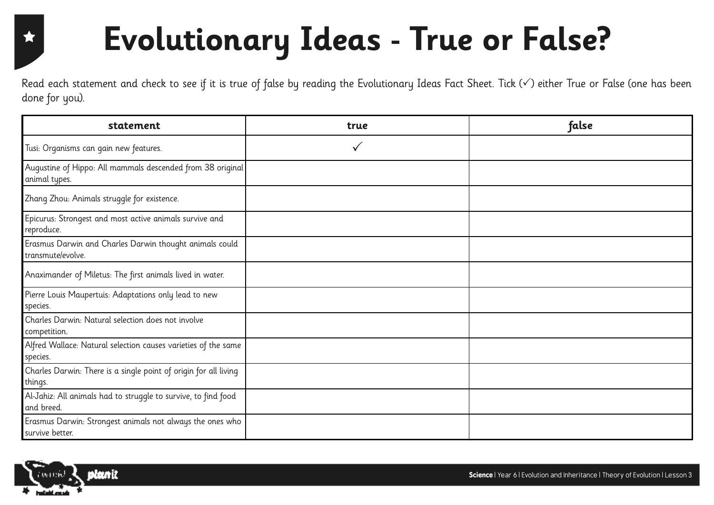### 食

# **Evolutionary Ideas - True or False?**

Read each statement and check to see if it is true of false by reading the Evolutionary Ideas Fact Sheet. Tick  $(\checkmark)$  either True or False (one has been done for you).

| statement                                                                    | true | false |
|------------------------------------------------------------------------------|------|-------|
| Tusi: Organisms can gain new features.                                       | ✓    |       |
| Augustine of Hippo: All mammals descended from 38 original<br>animal types.  |      |       |
| Zhang Zhou: Animals struggle for existence.                                  |      |       |
| Epicurus: Strongest and most active animals survive and<br>reproduce.        |      |       |
| Erasmus Darwin and Charles Darwin thought animals could<br>transmute/evolve. |      |       |
| Anaximander of Miletus: The first animals lived in water.                    |      |       |
| Pierre Louis Maupertuis: Adaptations only lead to new<br>species.            |      |       |
| Charles Darwin: Natural selection does not involve<br>competition.           |      |       |
| Alfred Wallace: Natural selection causes varieties of the same<br>species.   |      |       |
| Charles Darwin: There is a single point of origin for all living<br>things.  |      |       |
| Al-Jahiz: All animals had to struggle to survive, to find food<br>and breed. |      |       |
| Erasmus Darwin: Strongest animals not always the ones who<br>survive better. |      |       |

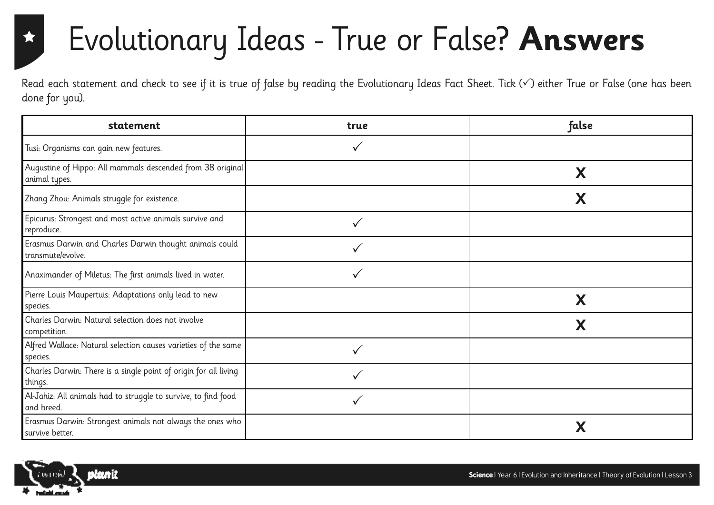### ★

### Evolutionary Ideas - True or False? **Answers**

Read each statement and check to see if it is true of false by reading the Evolutionary Ideas Fact Sheet. Tick  $(\checkmark)$  either True or False (one has been done for you).

| statement                                                                    | true | false |
|------------------------------------------------------------------------------|------|-------|
| Tusi: Organisms can gain new features.                                       |      |       |
| Augustine of Hippo: All mammals descended from 38 original<br>animal types.  |      | X     |
| Zhang Zhou: Animals struggle for existence.                                  |      | Х     |
| Epicurus: Strongest and most active animals survive and<br>reproduce.        |      |       |
| Erasmus Darwin and Charles Darwin thought animals could<br>transmute/evolve. |      |       |
| Anaximander of Miletus: The first animals lived in water.                    |      |       |
| Pierre Louis Maupertuis: Adaptations only lead to new<br>species.            |      | X     |
| Charles Darwin: Natural selection does not involve<br>competition.           |      | X     |
| Alfred Wallace: Natural selection causes varieties of the same<br>species.   |      |       |
| Charles Darwin: There is a single point of origin for all living<br>things.  |      |       |
| Al-Jahiz: All animals had to struggle to survive, to find food<br>and breed. |      |       |
| Erasmus Darwin: Strongest animals not always the ones who<br>survive better. |      | Χ     |

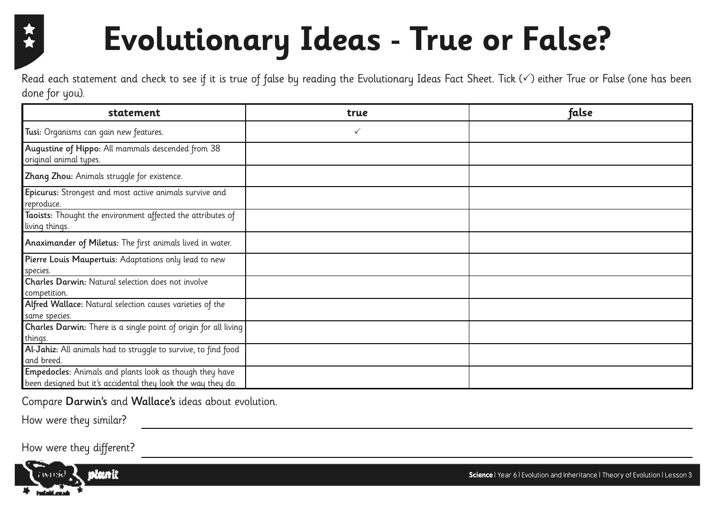### **Evolutionary Ideas - True or False?**

Read each statement and check to see if it is true of false by reading the Evolutionary Ideas Fact Sheet. Tick  $(\checkmark)$  either True or False (one has been done for you).

| statement                                                                                                               | true         | false |
|-------------------------------------------------------------------------------------------------------------------------|--------------|-------|
| Tusi: Organisms can gain new features.                                                                                  | $\checkmark$ |       |
| Augustine of Hippo: All mammals descended from 38<br>original animal types.                                             |              |       |
| Zhang Zhou: Animals struggle for existence.                                                                             |              |       |
| Epicurus: Strongest and most active animals survive and<br>reproduce.                                                   |              |       |
| Taoists: Thought the environment affected the attributes of<br>living things.                                           |              |       |
| Anaximander of Miletus: The first animals lived in water.                                                               |              |       |
| Pierre Louis Maupertuis: Adaptations only lead to new<br>species.                                                       |              |       |
| Charles Darwin: Natural selection does not involve<br>competition.                                                      |              |       |
| Alfred Wallace: Natural selection causes varieties of the<br>same species.                                              |              |       |
| Charles Darwin: There is a single point of origin for all living<br>things.                                             |              |       |
| Al-Jahiz: All animals had to struggle to survive, to find food<br>and breed.                                            |              |       |
| Empedocles: Animals and plants look as though they have<br>been designed but it's accidental they look the way they do. |              |       |

Compare Darwin's and Wallace's ideas about evolution.

How were they similar?

How were they different?

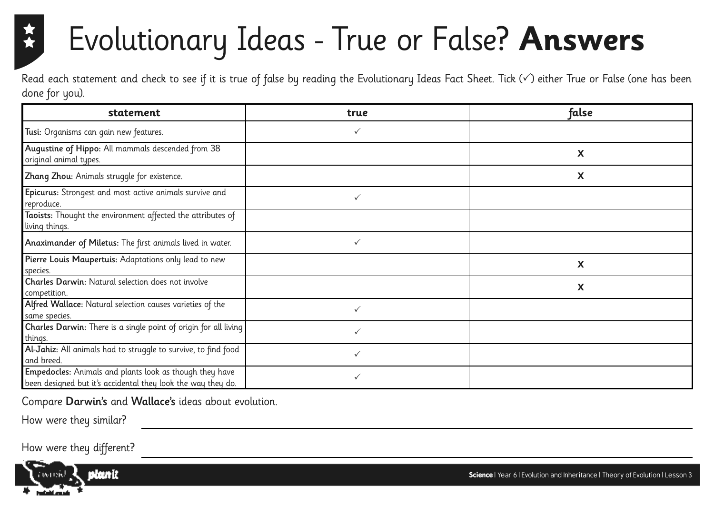### Evolutionary Ideas - True or False? **Answers**

Read each statement and check to see if it is true of false by reading the Evolutionary Ideas Fact Sheet. Tick  $(\checkmark)$  either True or False (one has been done for you).

| statement                                                                                                               | true         | false |
|-------------------------------------------------------------------------------------------------------------------------|--------------|-------|
| Tusi: Organisms can gain new features.                                                                                  |              |       |
| Augustine of Hippo: All mammals descended from 38<br>original animal types.                                             |              | X     |
| Zhang Zhou: Animals struggle for existence.                                                                             |              | X     |
| Epicurus: Strongest and most active animals survive and<br>reproduce.                                                   | $\checkmark$ |       |
| Taoists: Thought the environment affected the attributes of<br>living things.                                           |              |       |
| Anaximander of Miletus: The first animals lived in water.                                                               | ✓            |       |
| Pierre Louis Maupertuis: Adaptations only lead to new<br>species.                                                       |              | X     |
| Charles Darwin: Natural selection does not involve<br>competition.                                                      |              | X     |
| Alfred Wallace: Natural selection causes varieties of the<br>same species.                                              | ✓            |       |
| Charles Darwin: There is a single point of origin for all living<br>things.                                             | $\checkmark$ |       |
| Al-Jahiz: All animals had to struggle to survive, to find food<br>and breed.                                            | ✓            |       |
| Empedocles: Animals and plants look as though they have<br>been designed but it's accidental they look the way they do. | ✓            |       |

Compare Darwin's and Wallace's ideas about evolution.

How were they similar?

How were they different?



**Science** | Year 6 | Evolution and Inheritance | Theory of Evolution | Lesson 3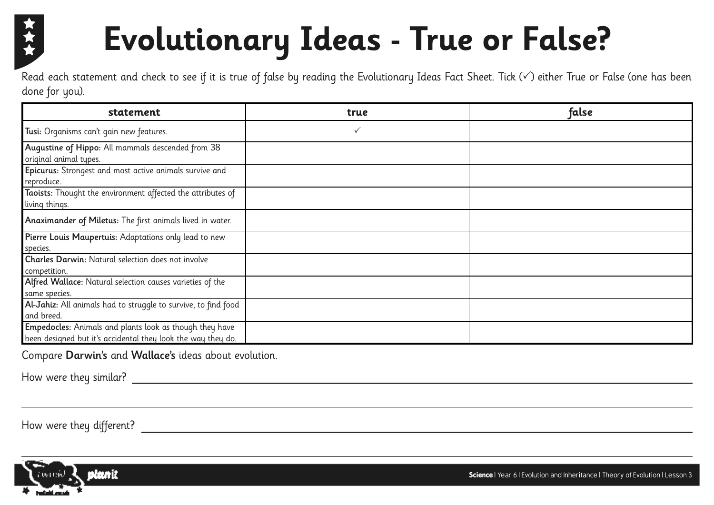

# **Evolutionary Ideas - True or False?**

Read each statement and check to see if it is true of false by reading the Evolutionary Ideas Fact Sheet. Tick  $(\checkmark)$  either True or False (one has been done for you).

| statement                                                                                                               | true         | false |
|-------------------------------------------------------------------------------------------------------------------------|--------------|-------|
| Tusi: Organisms can't gain new features.                                                                                | $\checkmark$ |       |
| Augustine of Hippo: All mammals descended from 38<br>original animal types.                                             |              |       |
| Epicurus: Strongest and most active animals survive and<br>reproduce.                                                   |              |       |
| Taoists: Thought the environment affected the attributes of<br>living things.                                           |              |       |
| Anaximander of Miletus: The first animals lived in water.                                                               |              |       |
| Pierre Louis Maupertuis: Adaptations only lead to new<br>species.                                                       |              |       |
| <b>Charles Darwin: Natural selection does not involve</b><br>competition.                                               |              |       |
| Alfred Wallace: Natural selection causes varieties of the<br>same species.                                              |              |       |
| Al-Jahiz: All animals had to struggle to survive, to find food<br>and breed.                                            |              |       |
| Empedocles: Animals and plants look as though they have<br>been designed but it's accidental they look the way they do. |              |       |

Compare Darwin's and Wallace's ideas about evolution.

How were they similar?

How were they different?